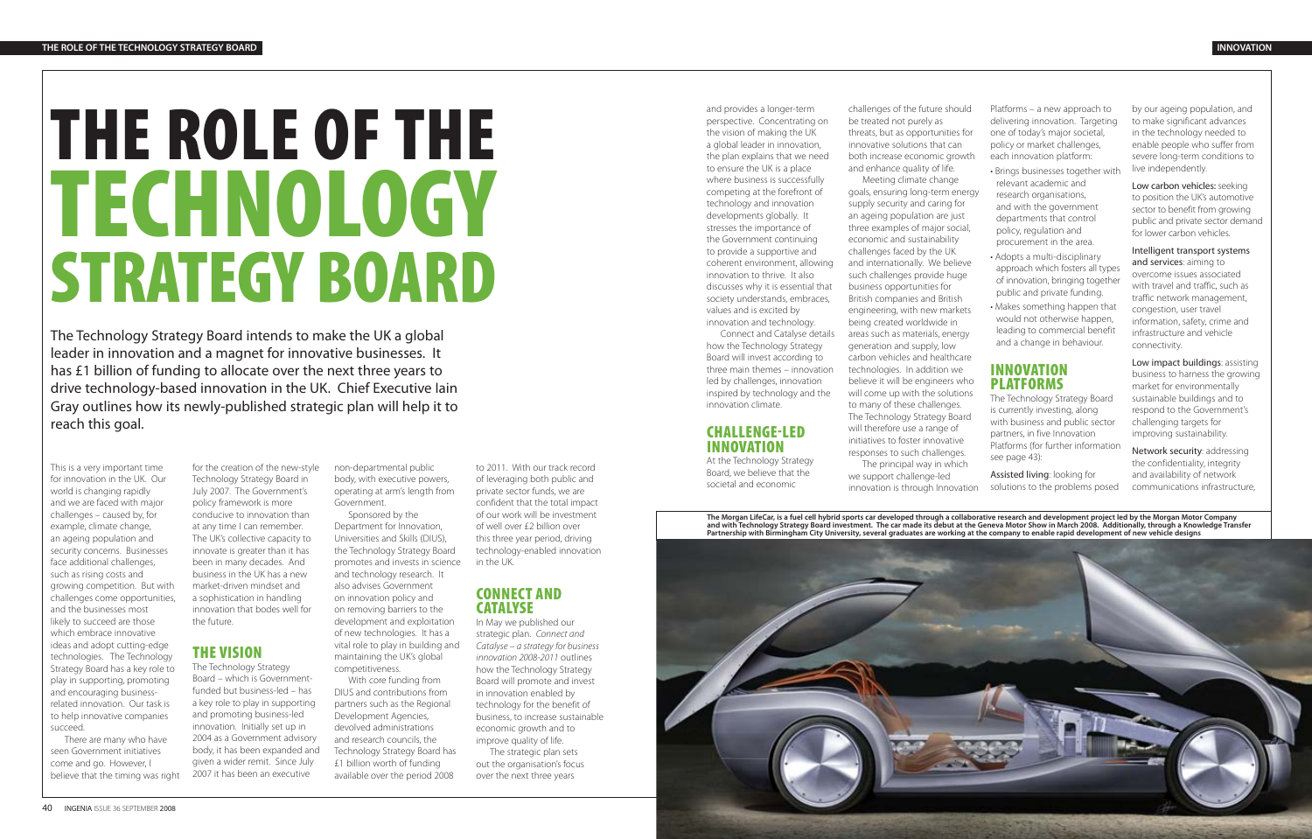# **THE ROLE OF THE TECHNOLOGY STRATEGY BOARD**

The Technology Strategy Board intends to make the UK a global leader in innovation and a magnet for innovative businesses. It has £1 billion of funding to allocate over the next three years to drive technology-based innovation in the UK. Chief Executive Iain Gray outlines how its newly-published strategic plan will help it to reach this goal.

This is a very important time for innovation in the UK. Our world is changing rapidly and we are faced with major challenges – caused by, for example, climate change, an ageing population and security concerns. Businesses face additional challenges, such as rising costs and growing competition. But with challenges come opportunities, and the businesses most likely to succeed are those which embrace innovative ideas and adopt cutting-edge technologies. The Technology Strategy Board has a key role to play in supporting, promoting and encouraging businessrelated innovation. Our task is to help innovative companies succeed.

There are many who have seen Government initiatives come and go. However, I believe that the timing was right

for the creation of the new-style Technology Strategy Board in July 2007. The Government's policy framework is more conducive to innovation than at any time I can remember. The UK's collective capacity to innovate is greater than it has been in many decades. And business in the UK has a new market-driven mindset and a sophistication in handling innovation that bodes well for the future.

# **THE VISION**

The Technology Strategy Board – which is Governmentfunded but business-led – has a key role to play in supporting and promoting business-led innovation. Initially set up in 2004 as a Government advisory body, it has been expanded and given a wider remit. Since July 2007 it has been an executive

non-departmental public body, with executive powers, operating at arm's length from Government.

Sponsored by the Department for Innovation, Universities and Skills (DIUS), the Technology Strategy Board promotes and invests in science and technology research. It also advises Government on innovation policy and on removing barriers to the development and exploitation of new technologies. It has a vital role to play in building and maintaining the UK's global competitiveness.

With core funding from DIUS and contributions from partners such as the Regional Development Agencies, devolved administrations and research councils, the Technology Strategy Board has £1 billion worth of funding available over the period 2008

to 2011. With our track record of leveraging both public and private sector funds, we are confident that the total impact of our work will be investment of well over £2 billion over this three year period, driving technology-enabled innovation in the UK.

## **CONNECT AND CATALYSE**

In May we published our strategic plan. Connect and Catalyse – a strategy for business innovation 2008-2011 outlines how the Technology Strategy Board will promote and invest in innovation enabled by technology for the benefit of business, to increase sustainable economic growth and to improve quality of life.

The strategic plan sets out the organisation's focus over the next three years

Low impact buildings: assisting business to harness the growing market for environmentally sustainable buildings and to respond to the Government's challenging targets for improving sustainability.

and provides a longer-term perspective. Concentrating on the vision of making the UK a global leader in innovation, the plan explains that we need to ensure the UK is a place where business is successfully competing at the forefront of technology and innovation developments globally. It stresses the importance of the Government continuing to provide a supportive and coherent environment, allowing innovation to thrive. It also discusses why it is essential that society understands, embraces, values and is excited by innovation and technology.

Connect and Catalyse details how the Technology Strategy Board will invest according to three main themes – innovation led by challenges, innovation inspired by technology and the innovation climate.

## **CHALLENGE-LED INNOVATION**

At the Technology Strategy Board, we believe that the societal and economic

challenges of the future should be treated not purely as threats, but as opportunities for innovative solutions that can both increase economic growth and enhance quality of life. Meeting climate change goals, ensuring long-term energy supply security and caring for an ageing population are just three examples of major social, economic and sustainability challenges faced by the UK and internationally. We believe such challenges provide huge business opportunities for British companies and British engineering, with new markets being created worldwide in areas such as materials, energy generation and supply, low carbon vehicles and healthcare technologies. In addition we believe it will be engineers who will come up with the solutions to many of these challenges. The Technology Strategy Board will therefore use a range of initiatives to foster innovative responses to such challenges. The principal way in which we support challenge-led innovation is through Innovation

Platforms – a new approach to delivering innovation. Targeting one of today's major societal, policy or market challenges, each innovation platform:



- Brings businesses together with relevant academic and research organisations, and with the government departments that control policy, regulation and procurement in the area.
- Adopts a multi-disciplinary approach which fosters all types of innovation, bringing together public and private funding.
- Makes something happen that would not otherwise happen, leading to commercial benefit and a change in behaviour.

# **INNOVATION PLATFORMS**

The Technology Strategy Board is currently investing, along with business and public sector partners, in five Innovation Platforms (for further information see page 43):

Assisted living: looking for solutions to the problems posed

by our ageing population, and to make significant advances in the technology needed to enable people who suffer from severe long-term conditions to live independently.

Low carbon vehicles: seeking to position the UK's automotive sector to benefit from growing public and private sector demand for lower carbon vehicles.

Intelligent transport systems and services: aiming to overcome issues associated with travel and traffic, such as traffic network management, congestion, user travel information, safety, crime and infrastructure and vehicle connectivity.

Network security: addressing the confidentiality, integrity and availability of network communications infrastructure,

**The Morgan LifeCar, is a fuel cell hybrid sports car developed through a collaborative research and development project led by the Morgan Motor Company and with Technology Strategy Board investment. The car made its debut at the Geneva Motor Show in March 2008. Additionally, through a Knowledge Transfer**